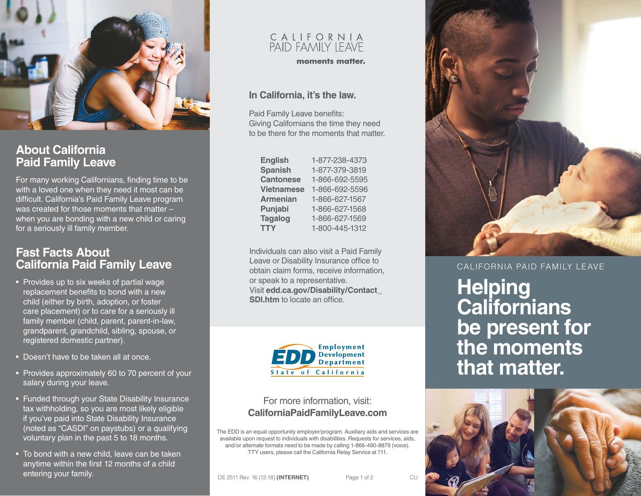

## **About California Paid Family Leave**

For many working Californians, finding time to be with a loved one when they need it most can be difficult. California's Paid Family Leave program was created for those moments that matter – when you are bonding with a new child or caring for a seriously ill family member.

## **Fast Facts About California Paid Family Leave**

- Provides up to six weeks of partial wage replacement benefits to bond with a new child (either by birth, adoption, or foster care placement) or to care for a seriously ill family member (child, parent, parent-in-law, grandparent, grandchild, sibling, spouse, or registered domestic partner).
- Doesn't have to be taken all at once.
- Provides approximately 60 to 70 percent of your salary during your leave.
- Funded through your State Disability Insurance tax withholding, so you are most likely eligible if you've paid into State Disability Insurance (noted as "CASDI" on paystubs) or a qualifying voluntary plan in the past 5 to 18 months.
- To bond with a new child, leave can be taken anytime within the first 12 months of a child entering your family.

# C A L I F O R N I A<br>PAID FAMILY LEAVE

moments matter.

#### **In California, it's the law.**

Paid Family Leave benefits: Giving Californians the time they need to be there for the moments that matter.

| <b>English</b>    | 1-877-238-4373 |
|-------------------|----------------|
| <b>Spanish</b>    | 1-877-379-3819 |
| <b>Cantonese</b>  | 1-866-692-5595 |
| <b>Vietnamese</b> | 1-866-692-5596 |
| <b>Armenian</b>   | 1-866-627-1567 |
| Punjabi           | 1-866-627-1568 |
| <b>Tagalog</b>    | 1-866-627-1569 |
| <b>TTY</b>        | 1-800-445-1312 |

Individuals can also visit a Paid Family Leave or Disability Insurance office to obtain claim forms, receive information, or speak to a representative. Visit **[edd.ca.gov/Disability/Contact\\_](http://edd.ca.gov/Disability/Contact_SDI.htm) [SDI.htm](http://edd.ca.gov/Disability/Contact_SDI.htm)** to locate an office



#### For more information, visit: **[CaliforniaPaidFamilyLeave.com](http://CaliforniaPaidFamilyLeave.com)**

The EDD is an equal opportunity employer/program. Auxiliary aids and services are available upon request to individuals with disabilities. Requests for services, aids, and/or alternate formats need to be made by calling 1-866-490-8879 (voice). TTY users, please call the California Relay Service at 711.



CALIFORNIA PAID FAMILY LEAVE

**Helping Californians be present for the moments that matter.**